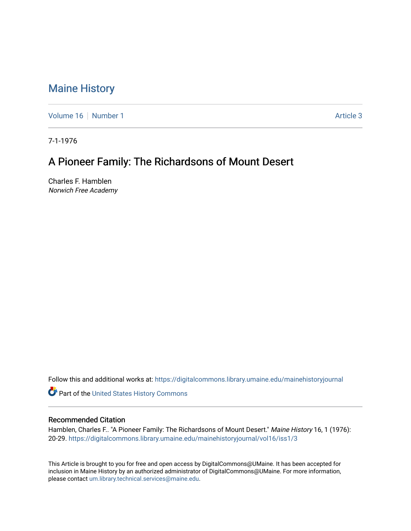## [Maine History](https://digitalcommons.library.umaine.edu/mainehistoryjournal)

[Volume 16](https://digitalcommons.library.umaine.edu/mainehistoryjournal/vol16) [Number 1](https://digitalcommons.library.umaine.edu/mainehistoryjournal/vol16/iss1) Article 3

7-1-1976

## A Pioneer Family: The Richardsons of Mount Desert

Charles F. Hamblen Norwich Free Academy

Follow this and additional works at: [https://digitalcommons.library.umaine.edu/mainehistoryjournal](https://digitalcommons.library.umaine.edu/mainehistoryjournal?utm_source=digitalcommons.library.umaine.edu%2Fmainehistoryjournal%2Fvol16%2Fiss1%2F3&utm_medium=PDF&utm_campaign=PDFCoverPages) 

Part of the [United States History Commons](http://network.bepress.com/hgg/discipline/495?utm_source=digitalcommons.library.umaine.edu%2Fmainehistoryjournal%2Fvol16%2Fiss1%2F3&utm_medium=PDF&utm_campaign=PDFCoverPages) 

## Recommended Citation

Hamblen, Charles F.. "A Pioneer Family: The Richardsons of Mount Desert." Maine History 16, 1 (1976): 20-29. [https://digitalcommons.library.umaine.edu/mainehistoryjournal/vol16/iss1/3](https://digitalcommons.library.umaine.edu/mainehistoryjournal/vol16/iss1/3?utm_source=digitalcommons.library.umaine.edu%2Fmainehistoryjournal%2Fvol16%2Fiss1%2F3&utm_medium=PDF&utm_campaign=PDFCoverPages)

This Article is brought to you for free and open access by DigitalCommons@UMaine. It has been accepted for inclusion in Maine History by an authorized administrator of DigitalCommons@UMaine. For more information, please contact [um.library.technical.services@maine.edu.](mailto:um.library.technical.services@maine.edu)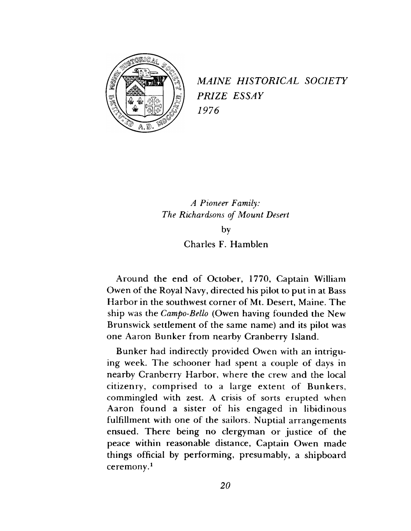

*MAINE HISTORICAL SOCIETY PRIZE ESSAY 1976*

*A Pioneer Family: The Richardsons of Mount Desert* **by**

**Charles F. Hamblen**

**Around the end of October, 1770, Captain William Owen of the Royal Navy, directed his pilot to put in at Bass Harbor in the southwest corner of Mt. Desert, Maine. The ship was the** *Campo-Bello* **(Owen having founded the New Brunswick settlement of the same name) and its pilot was one Aaron Bunker from nearby Cranberry Island.**

**Bunker had indirectly provided Owen with an intriguing week. The schooner had spent a couple of days in nearby Cranberry Harbor, where the crew and the local citizenry, comprised to a large extent of Bunkers, commingled with zest. A crisis of sorts erupted when Aaron found a sister of his engaged in libidinous fulfillment with one of the sailors. Nuptial arrangements ensued. There being no clergyman or justice of the peace within reasonable distance, Captain Owen made things official by performing, presumably, a shipboard ceremony.1**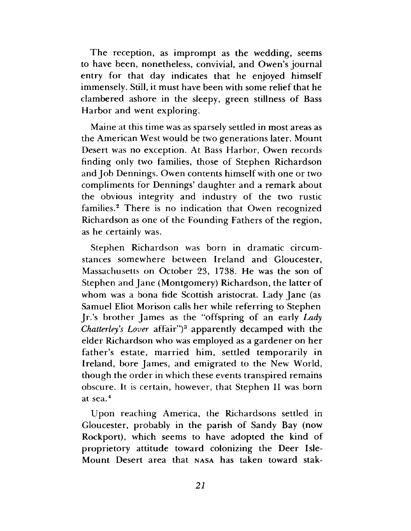**The reception, as imprompt as the wedding, seems to have been, nonetheless, convivial, and Owen's journal entry for that day indicates that he enjoyed himself immensely. Still, it must have been with some relief that he clambered ashore in the sleepy, green stillness of Bass Harbor and went exploring.**

**Maine at this time was as sparsely settled in most areas as the American West would be two generations later. Mount Desert was no exception. At Bass Harbor, Owen records finding only two families, those of Stephen Richardson and Job Dennings. Owen contents himself with one or two compliments for Dennings' daughter and a remark about the obvious integrity and industry of the two rustic families.2 There is no indication that Owen recognized Richardson as one of the Founding Fathers of the region, as he certainly was.**

**Stephen Richardson was born in dramatic circumstances somewhere between Ireland and Gloucester, Massachusetts on October 23, 1738. He was the son of Stephen and Jane (Montgomery) Richardson, the latter of whom was a bona fide Scottish aristocrat. Lady Jane (as Samuel Eliot Morison calls her while referring to Stephen** In's brother James as the "offspring of an early *Lady Chatterleys Lover* **affair")3 apparently decamped with the elder Richardson who was employed as a gardener on her father's estate, married him, settled temporarily in Ireland, bore James, and emigrated to the New World, though the order in which these events transpired remains obscure. It is certain, however, that Stephen II was born at sea.4**

**Upon reaching America, the Richardsons settled in Gloucester, probably in the parish of Sandy Bay (now Rockport), which seems to have adopted the kind of proprietory attitude toward colonizing the Deer Isle-Mount Desert area that** nasa **has taken toward stak-**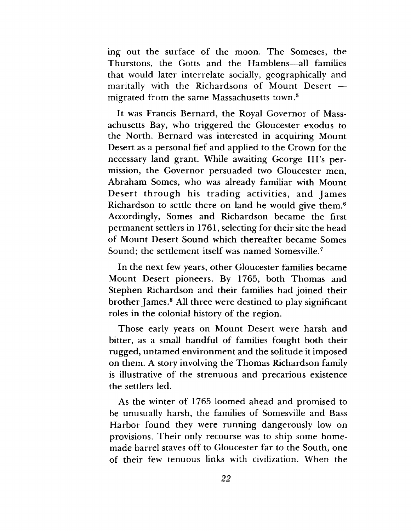**ing out the surface of the moon. The Someses, the Thurstons, the Gotts and the Hamblens—all families that would later interrelate socially, geographically and maritally with the Richardsons of Mount Desert migrated from the same Massachusetts town.5**

**It was Francis Bernard, the Royal Governor of Massachusetts Bay, who triggered the Gloucester exodus to the North. Bernard was interested in acquiring Mount Desert as a personal fief and applied to the Crown for the necessary land grant. While awaiting George Ill's permission, the Governor persuaded two Gloucester men, Abraham Somes, who was already familiar with Mount Desert through his trading activities, and James Richardson to settle there on land he would give them.6 Accordingly, Somes and Richardson became the first permanent settlers in 1761, selecting for their site the head of Mount Desert Sound which thereafter became Somes Sound; the settlement itself was named Somesville.7**

**In the next few years, other Gloucester families became Mount Desert pioneers. By 1765, both Thomas and Stephen Richardson and their families had joined their brother James.8 All three were destined to play significant roles in the colonial history of the region.**

**Those early years on Mount Desert were harsh and bitter, as a small handful of families fought both their rugged, untamed environment and the solitude it imposed on them. A story involving the Thomas Richardson family is illustrative of the strenuous and precarious existence the settlers led.**

**As the winter of 1765 loomed ahead and promised to be unusually harsh, the families of Somesville and Bass Harbor found they were running dangerously low on provisions. Their only recourse was to ship some homemade barrel staves off to Gloucester far to the South, one of their few tenuous links with civilization. When the**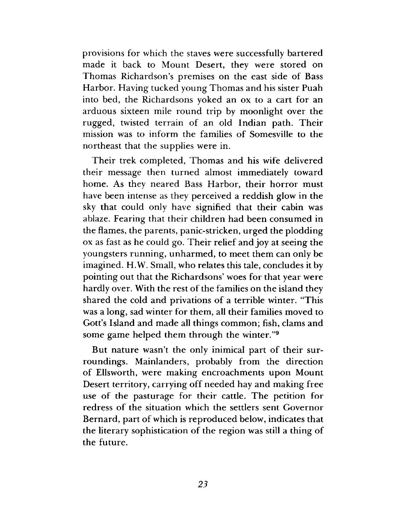**provisions for which the staves were successfully bartered made it back to Mount Desert, they were stored on Thomas Richardson's premises on the east side of Bass Harbor. Having tucked young Thomas and his sister Puah into bed, the Richardsons yoked an ox to a cart for an arduous sixteen mile round trip by moonlight over the rugged, twisted terrain of an old Indian path. Their mission was to inform the families of Somesville to the northeast that the supplies were in.**

**Their trek completed, Thomas and his wife delivered their message then turned almost immediately toward home. As they neared Bass Harbor, their horror must have been intense as they perceived a reddish glow in the sky that could only have signified that their cabin was ablaze. Fearing that their children had been consumed in the flames, the parents, panic-stricken, urged the plodding ox as fast as he could go. Their relief and joy at seeing the youngsters running, unharmed, to meet them can only be imagined. H.W. Small, who relates this tale, concludes it by pointing out that the Richardsons' woes for that year were hardly over. With the rest of the families on the island they shared the cold and privations of a terrible winter. "This was a long, sad winter for them, all their families moved to Gott's Island and made all things common; fish, clams and some game helped them through the winter."9**

**But nature wasn't the only inimical part of their surroundings. Mainlanders, probably from the direction of Ellsworth, were making encroachments upon Mount Desert territory, carrying off needed hay and making free use of the pasturage for their cattle. The petition for redress of the situation which the settlers sent Governor Bernard, part of which is reproduced below, indicates that the literary sophistication of the region was still a thing of the future.**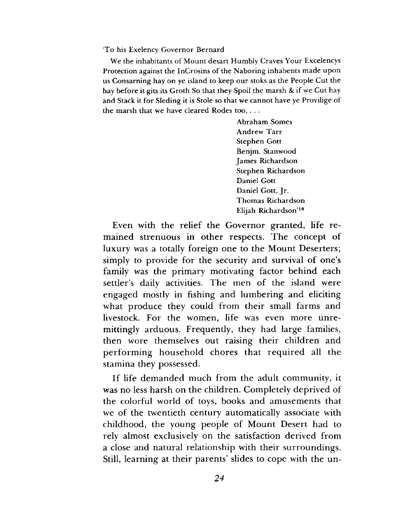'To his Exelency Governor Bernard

We the inhabitants of Mount desart Humbly Craves Your Excelencys Protection against the InCrosins of the Naboring inhabents made upon us Consarning hay on ye island to keep our stoks as the People Cut the hay before it gits its Groth So that they Spoil the marsh & if we Cut hay and Stack it for Sleding it is Stole so that we cannot have ye Provilige of the marsh that we have cleared Rodes too, . . .

> Abraham Somes Andrew Tarr Stephen Gott Benjm. Stanwood James Richardson Stephen Richardson Daniel Gott Daniel Gott, Jr. Thomas Richardson Elijah Richardson'10

**Even with the relief the Governor granted, life remained strenuous in other respects. The concept of luxury was a totally foreign one to the Mount Deserters; simply to provide for the security and survival of one's family was the primary motivating factor behind each settler's daily activities. The men of the island were engaged mostly in fishing and lumbering and eliciting what produce they could from their small farms and livestock. For the women, life was even more unremittingly arduous. Frequently, they had large families, then wore themselves out raising their children and performing household chores that required all the stamina they possessed.**

**If life demanded much from the adult community, it was no less harsh on the children. Completely deprived of the colorful world of toys, books and amusements that we of the twentieth century automatically associate with childhood, the young people of Mount Desert had to rely almost exclusively on the satisfaction derived from a close and natural relationship with their surroundings. Still, learning at their parents' slides to cope with the un-**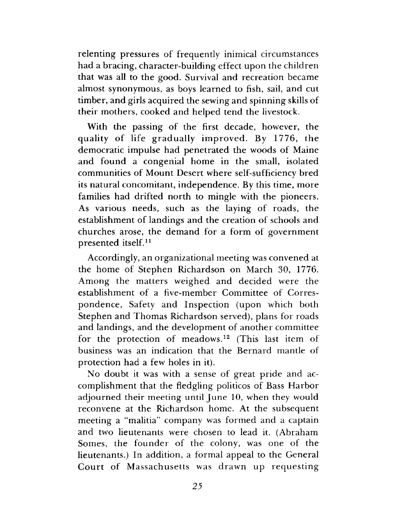**relenting pressures of frequently inimical circumstances had a bracing, character-building effect upon the children that was all to the good. Survival and recreation became almost synonymous, as boys learned to fish, sail, and cut timber, and girls acquired the sewing and spinning skills of their mothers, cooked and helped tend the livestock.**

**With the passing of the first decade, however, the quality of life gradually improved. By 1776, the democratic impulse had penetrated the woods of Maine and found a congenial home in the small, isolated communities of Mount Desert where self-sufficiency bred its natural concomitant, independence. By this time, more families had drifted north to mingle with the pioneers. As various needs, such as the laying of roads, the establishment of landings and the creation of schools and churches arose, the demand for a form of government presented itself.11**

**Accordingly, an organizational meeting was convened at the home of Stephen Richardson on March 30, 1776. Among the matters weighed and decided were the establishment of a five-member Committee of Correspondence, Safety and Inspection (upon which both Stephen and Thomas Richardson served), plans for roads and landings, and the development of another committee for the protection of meadows.12 (This last item of business was an indication that the Bernard mantle of protection had a few holes in it).**

**No doubt it was with a sense of great pride and accomplishment that the fledgling politicos of Bass Harbor adjourned their meeting until June 10, when they would reconvene at the Richardson home. At the subsequent meeting a "malitia" company was formed and a captain and two lieutenants were chosen to lead it. (Abraham Somes, the founder of the colony, was one of the lieutenants.) In addition, a formal appeal to the General Court of Massachusetts was drawn up requesting**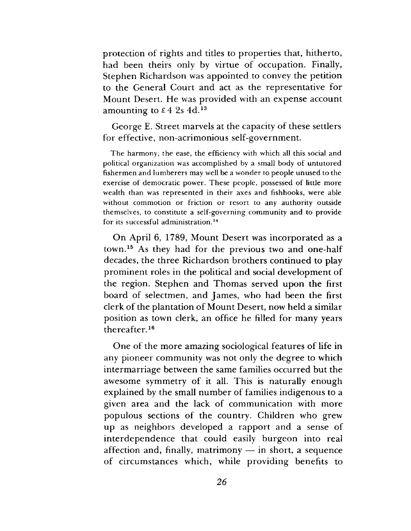**protection of rights and titles to properties that, hitherto, had been theirs only by virtue of occupation. Finally, Stephen Richardson was appointed to convey the petition to the General Court and act as the representative for Mount Desert. He was provided with an expense account amounting to £4 2s 4d.13**

**George E. Street marvels at the capacity of these settlers for effective, non-acrimonious self-government.**

The harmony, the ease, the efficiency with which all this social and political organization was accomplished by a small body of untutored fishermen and lumberers may well be a wonder to people unused to the exercise of democratic power. These people, possessed of little more wealth than was represented in their axes and fishhooks, were able without commotion or friction or resort to any authority outside themselves, to constitute a self-governing community and to provide for its successful administration.14

**On April 6, 1789, Mount Desert was incorporated as a town.15 As they had for the previous two and one-half decades, the three Richardson brothers continued to play prominent roles in the political and social development of the region. Stephen and Thomas served upon the first board of selectmen, and James, who had been the first clerk of the plantation of Mount Desert, now held a similar position as town clerk, an office he filled for many years thereafter.16**

**One of the more amazing sociological features of life in any pioneer community was not only the degree to which intermarriage between the same families occurred but the awesome symmetry of it all. This is naturally enough explained by the small number of families indigenous to a given area and the lack of communication with more populous sections of the country. Children who grew up as neighbors developed a rapport and a sense of interdependence that could easily burgeon into real affection and, finally, matrimony — in short, a sequence of circumstances which, while providing benefits to**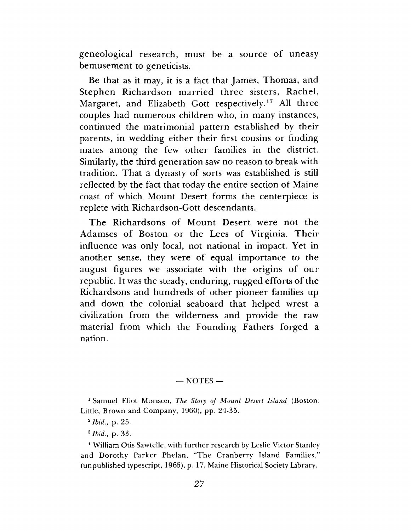**geneological research, must be a source of uneasy bemusement to geneticists.**

**Be that as it may, it is a fact that James, Thomas, and Stephen Richardson married three sisters, Rachel, Margaret, and Elizabeth Gott respectively.17 All three couples had numerous children who, in many instances, continued the matrimonial pattern established by their parents, in wedding either their first cousins or finding mates among the few other families in the district. Similarly, the third generation saw no reason to break with tradition. That a dynasty of sorts was established is still reflected by the fact that today the entire section of Maine coast of which Mount Desert forms the centerpiece is replete with Richardson-Gott descendants.**

**The Richardsons of Mount Desert were not the Adamses of Boston or the Lees of Virginia. Their influence was only local, not national in impact. Yet in another sense, they were of equal importance to the august figures we associate with the origins of our republic. It was the steady, enduring, rugged efforts of the Richardsons and hundreds of other pioneer families up and down the colonial seaboard that helped wrest a civilization from the wilderness and provide the raw material from which the Founding Fathers forged a nation.**

## $-$  NOTES  $-$

1 Samuel Eliot Morison, *The Story of Mount Desert Island* (Boston: Little, Brown and Company, 1960), pp. 24-35.

*2 Ibid.,* p. 25.

3 *Ibid.,* p. 33.

4 William Otis Sawtelle, with further research by Leslie Victor Stanley and Dorothy Parker Phelan, "The Cranberry Island Families," (unpublished typescript, 1965), p. 17, Maine Historical Society Library.